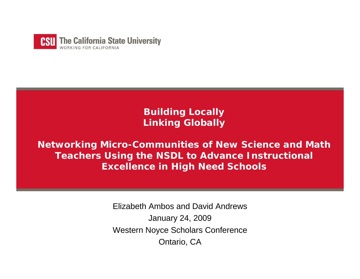

**Building Locally Linking Globally** 

**Networking Micro-Communities of New Science and Math Teachers Using the NSDL to Advance Instructional Excellence in High Need Schools** 

> Elizabeth Ambos and David AndrewsJanuary 24, 2009 Western Noyce Scholars Conference Ontario, CA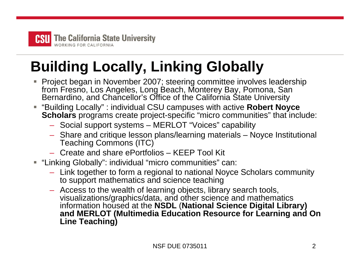

# **Building Locally, Linking Globally**

- П ■ Project began in November 2007; steering committee involves leadership from Fresno, Los Angeles, Long Beach, Monterey Bay, Pomona, San Bernardino, and Chancellor's Office of the California State University
- П "Building Locally" : individual CSU campuses with active **Robert Noyce Scholars** programs create project-specific "micro communities" that include:
	- Social support systems MERLOT "Voices" capability
	- Share and critique lesson plans/learning materials Noyce Institutional Teaching Commons (ITC)
	- Create and share ePortfolios KEEP Tool Kit
- "Linking Globally": individual "micro communities" can:
	- Link together to form a regional to national Noyce Scholars community to support mathematics and science teaching
	- Access to the wealth of learning objects, library search tools, visualizations/graphics/data, and other science and mathematics information housed at the **NSDL** (**National Science Digital Library) and MERLOT (Multimedia Education Resource for Learning and On Line Teaching)**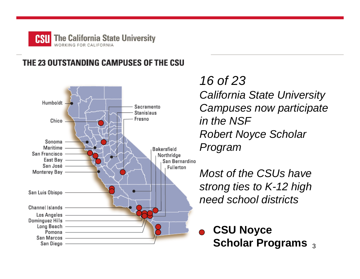

### THE 23 OUTSTANDING CAMPUSES OF THE CSU



*16 of 23California State University Campuses now participate in the NSF Robert Noyce Scholar Program* 

*Most of the CSUs havestrong ties to K-12 high need school districts*

3**Scholar Programs CSU Noyce**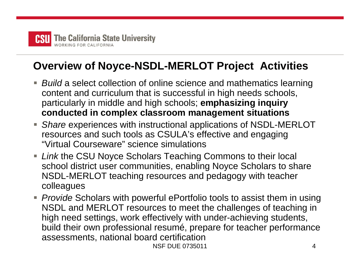

## **Overview of Noyce-NSDL-MERLOT Project Activities**

- *Build* a select collection of online science and mathematics learning content and curriculum that is successful in high needs schools, particularly in middle and high schools; **emphasizing inquiry conducted in complex classroom management situations**
- Share experiences with instructional applications of NSDL-MERLOT resources and such tools as CSULA's effective and engaging "Virtual Courseware" science simulations
- *Link* the CSU Noyce Scholars Teaching Commons to their local school district user communities, enabling Noyce Scholars to share NSDL-MERLOT teaching resources and pedagogy with teacher colleagues
- NSF DUE 07350114■ *Provide* Scholars with powerful ePortfolio tools to assist them in using NSDL and MERLOT resources to meet the challenges of teaching in high need settings, work effectively with under-achieving students, build their own professional resumé, prepare for teacher performance assessments, national board certification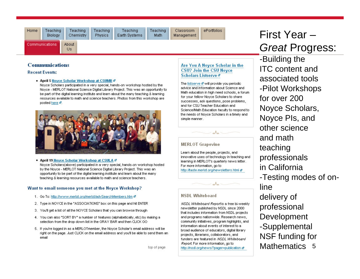Communications

ePortfolios Classroom Management

## First Year –*Great* Progress:

#### **Communications**

#### **Recent Events:**

. April 5 Novce Scholar Workshop at CSUMB @

About **Us** 

Noyce Scholars participated in a very special, hands-on workshop hosted by the Noyce - MERLOT National Science Digital Library Project. This was an opportunity to be part of the digital learning institute and learn about the many teaching & learning resources available to math and science teachers. Photos from this workshop are posted here a.



#### . April 19 Noyce Scholar Workshop at CSULA &

Noyce Scholars(above) participated in a very special, hands-on workshop hosted by the Noyce - MERLOT National Science Digital Library Project. This was an opportunity to be part of the digital learning institute and learn about the many teaching & learning resources available to math and science teachers.

#### Want to email someone you met at the Noyce Workshop?

- 1. Go To: http://www.merlot.org/merlot/advSearchMembers.htm @
- 2. Type in NOYCE in the "ASSOCIATIONS" box on this page and hit ENTER.
- 3. You'll get a list of all the NOYCE Scholars that you can browse through
- 4. You can also "SORT BY" a number of features (alphabetically, etc) by making a selection from the drop down list in the GRAY BAR and then CLICK GO
- 5. If you're logged in as a MERLOTmember, the Noyce Scholar's email address will be right on the page. Just CLICK on the email address and you'll be able to send them an ernail

#### Are You A Novce Scholar in the **CSU? Join the CSU Novce** Scholars Listserve <sup>a</sup>

The listserve of will provide you periodic advice and information about Science and Math education in high need schools, a forum for your fellow Noyce Scholars to share successes, ask questions, pose problems, and for CSU Teacher Education and Science/Math Education faculty to respond to the needs of Noyce Scholars in a timely and simple manner.

#### **MERLOT Grapevine**

Learn about the people, projects, and innovative uses of technology in teaching and learning in MERLOT's quarterly news letter. For more information, go to http://taste.merlot.org/newsletters.html a

 $\sim$ 

 $\mathcal{A}$ 

#### **NSDL Whiteboard**

NSDL Whiteboard Report is a free bi-weekly newsletter published by NSDL since 2000 that includes information from NSDL projects and programs nationwide. Research news, community initiatives, program highlights, and information about events of interest to a broad audience of educators, digital library projects, librarians, collaborators, and funders are featured in NSDL Whiteboard of page http://nsdi.org/he

Mathematics 5 -Building the ITC content andassociated tools-Pilot Workshops for over 200Noyce Scholars, Noyce PIs, and other scienceand mathteaching professionals in California-Testing modes of onlinedelivery of professional Development -Supplemental NSF funding for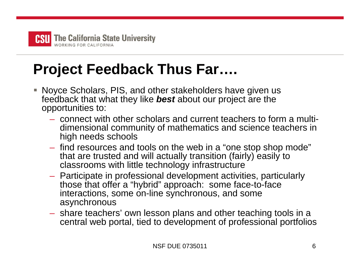

# **Project Feedback Thus Far….**

- i. Noyce Scholars, PIS, and other stakeholders have given us feedback that what they like *best* about our project are the opportunities to:
	- connect with other scholars and current teachers to form a multidimensional community of mathematics and science teachers in high needs schools
	- find resources and tools on the web in a "one stop shop mode" that are trusted and will actually transition (fairly) easily to classrooms with little technology infrastructure
	- Participate in professional development activities, particularly those that offer a "hybrid" approach: some face-to-face interactions, some on-line synchronous, and some asynchronous
	- share teachers' own lesson plans and other teaching tools in a central web portal, tied to development of professional portfolios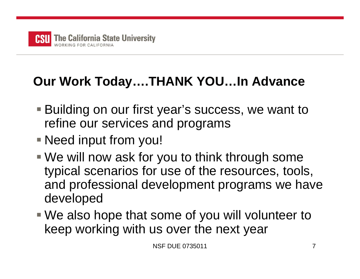

## **Our Work Today….THANK YOU…In Advance**

- Building on our first year's success, we want to refine our services and programs
- Need input from you!
- We will now ask for you to think through some typical scenarios for use of the resources, tools, and professional development programs we have developed
- We also hope that some of you will volunteer to keep working with us over the next year